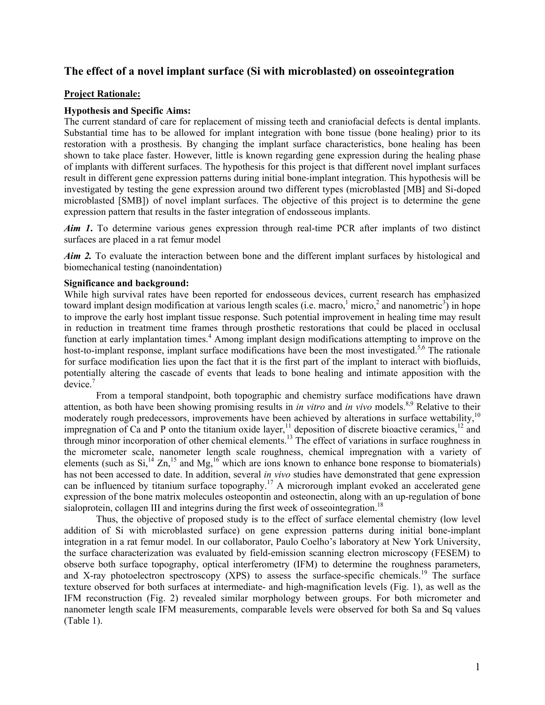# **The effect of a novel implant surface (Si with microblasted) on osseointegration**

#### **Project Rationale:**

#### **Hypothesis and Specific Aims:**

The current standard of care for replacement of missing teeth and craniofacial defects is dental implants. Substantial time has to be allowed for implant integration with bone tissue (bone healing) prior to its restoration with a prosthesis. By changing the implant surface characteristics, bone healing has been shown to take place faster. However, little is known regarding gene expression during the healing phase of implants with different surfaces. The hypothesis for this project is that different novel implant surfaces result in different gene expression patterns during initial bone-implant integration. This hypothesis will be investigated by testing the gene expression around two different types (microblasted [MB] and Si-doped microblasted [SMB]) of novel implant surfaces. The objective of this project is to determine the gene expression pattern that results in the faster integration of endosseous implants.

*Aim 1***.** To determine various genes expression through real-time PCR after implants of two distinct surfaces are placed in a rat femur model

*Aim 2.* To evaluate the interaction between bone and the different implant surfaces by histological and biomechanical testing (nanoindentation)

#### **Significance and background:**

While high survival rates have been reported for endosseous devices, current research has emphasized toward implant design modification at various length scales (i.e. macro,  $\frac{1}{2}$  micro,  $\frac{2}{3}$  and nanometric<sup>3</sup>) in hope to improve the early host implant tissue response. Such potential improvement in healing time may result in reduction in treatment time frames through prosthetic restorations that could be placed in occlusal function at early implantation times.<sup>4</sup> Among implant design modifications attempting to improve on the host-to-implant response, implant surface modifications have been the most investigated.<sup>5,6</sup> The rationale for surface modification lies upon the fact that it is the first part of the implant to interact with biofluids, potentially altering the cascade of events that leads to bone healing and intimate apposition with the  $\mathrm{device}$ .<sup>7</sup>

From a temporal standpoint, both topographic and chemistry surface modifications have drawn attention, as both have been showing promising results in *in vitro* and *in vivo* models.<sup>8,9</sup> Relative to their moderately rough predecessors, improvements have been achieved by alterations in surface wettability,<sup>10</sup> impregnation of Ca and P onto the titanium oxide layer,<sup>11</sup> deposition of discrete bioactive ceramics,<sup>12</sup> and through minor incorporation of other chemical elements.<sup>13</sup> The effect of variations in surface roughness in the micrometer scale, nanometer length scale roughness, chemical impregnation with a variety of elements (such as  $Si^{14}$  Zn,<sup>15</sup> and Mg,<sup>16</sup> which are ions known to enhance bone response to biomaterials) has not been accessed to date. In addition, several *in vivo* studies have demonstrated that gene expression can be influenced by titanium surface topography.<sup>17</sup> A microrough implant evoked an accelerated gene expression of the bone matrix molecules osteopontin and osteonectin, along with an up-regulation of bone sialoprotein, collagen III and integrins during the first week of osseointegration.<sup>18</sup>

Thus, the objective of proposed study is to the effect of surface elemental chemistry (low level addition of Si with microblasted surface) on gene expression patterns during initial bone-implant integration in a rat femur model. In our collaborator, Paulo Coelho's laboratory at New York University, the surface characterization was evaluated by field-emission scanning electron microscopy (FESEM) to observe both surface topography, optical interferometry (IFM) to determine the roughness parameters, and X-ray photoelectron spectroscopy (XPS) to assess the surface-specific chemicals.<sup>19</sup> The surface texture observed for both surfaces at intermediate- and high-magnification levels (Fig. 1), as well as the IFM reconstruction (Fig. 2) revealed similar morphology between groups. For both micrometer and nanometer length scale IFM measurements, comparable levels were observed for both Sa and Sq values (Table 1).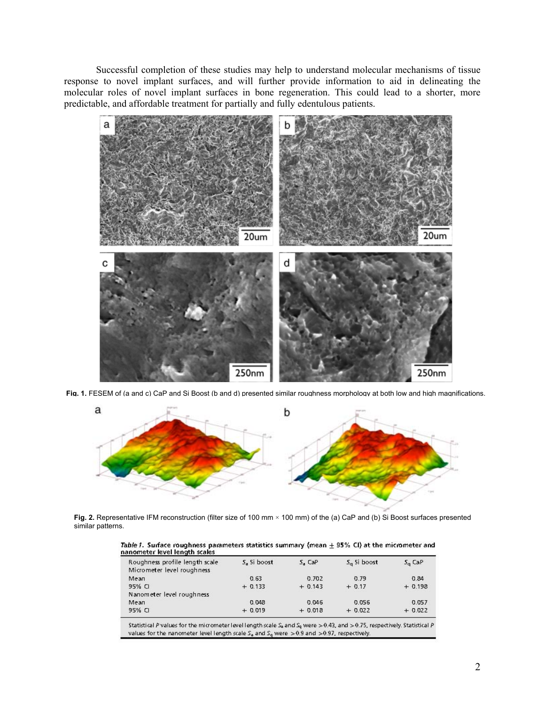Successful completion of these studies may help to understand molecular mechanisms of tissue response to novel implant surfaces, and will further provide information to aid in delineating the molecular roles of novel implant surfaces in bone regeneration. This could lead to a shorter, more predictable, and affordable treatment for partially and fully edentulous patients.



Fig. 1. FESEM of (a and c) CaP and Si Boost (b and d) presented similar roughness morphology at both low and high magnifications.



Fig. 2. Representative IFM reconstruction (filter size of 100 mm × 100 mm) of the (a) CaP and (b) Si Boost surfaces presented similar patterns.

| Table 1. Surface roughness parameters statistics summary (mean $\pm$ 95% CI) at the micrometer and |  |
|----------------------------------------------------------------------------------------------------|--|
| nanometer level length scales                                                                      |  |

| Roughness profile length scale | 5. 5i boost | 5, CaP    | $Sa$ 5i boost | $S_{\alpha}$ CaP |
|--------------------------------|-------------|-----------|---------------|------------------|
| Micrometer level roughness     |             |           |               |                  |
| Mean                           | 0.63        | 0.702     | 0.79          | 0.84             |
| 95% CI                         | $+ 0.133$   | $+ 0.143$ | $+0.17$       | $+0.198$         |
| Nanometer level roughness      |             |           |               |                  |
| Mean                           | 0.048       | 0.046     | 0.056         | 0.057            |
| 95% CI                         | $+0.019$    | $+0.018$  | $+0.022$      | $+0.022$         |

Statistical P values for the micrometer level length scale  $S_8$  and  $S_9$  were  $> 0.43$ , and  $> 0.75$ , respectively. Statistical P values for the nanometer level length scale  $S_8$  and  $S_9$  were  $> 0.9$  and  $> 0.97$ , re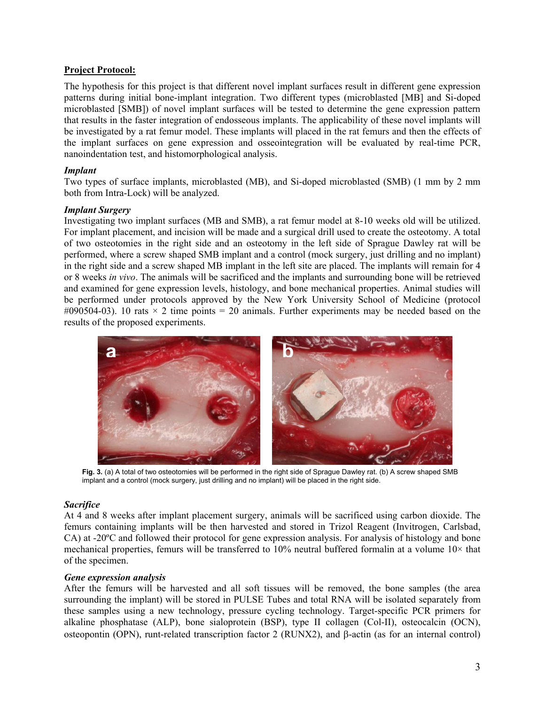# **Project Protocol:**

The hypothesis for this project is that different novel implant surfaces result in different gene expression patterns during initial bone-implant integration. Two different types (microblasted [MB] and Si-doped microblasted [SMB]) of novel implant surfaces will be tested to determine the gene expression pattern that results in the faster integration of endosseous implants. The applicability of these novel implants will be investigated by a rat femur model. These implants will placed in the rat femurs and then the effects of the implant surfaces on gene expression and osseointegration will be evaluated by real-time PCR, nanoindentation test, and histomorphological analysis.

# *Implant*

Two types of surface implants, microblasted (MB), and Si-doped microblasted (SMB) (1 mm by 2 mm both from Intra-Lock) will be analyzed.

### *Implant Surgery*

Investigating two implant surfaces (MB and SMB), a rat femur model at 8-10 weeks old will be utilized. For implant placement, and incision will be made and a surgical drill used to create the osteotomy. A total of two osteotomies in the right side and an osteotomy in the left side of Sprague Dawley rat will be performed, where a screw shaped SMB implant and a control (mock surgery, just drilling and no implant) in the right side and a screw shaped MB implant in the left site are placed. The implants will remain for 4 or 8 weeks *in vivo*. The animals will be sacrificed and the implants and surrounding bone will be retrieved and examined for gene expression levels, histology, and bone mechanical properties. Animal studies will be performed under protocols approved by the New York University School of Medicine (protocol #090504-03). 10 rats  $\times$  2 time points = 20 animals. Further experiments may be needed based on the results of the proposed experiments.



**Fig. 3.** (a) A total of two osteotomies will be performed in the right side of Sprague Dawley rat. (b) A screw shaped SMB implant and a control (mock surgery, just drilling and no implant) will be placed in the right side.

### *Sacrifice*

At 4 and 8 weeks after implant placement surgery, animals will be sacrificed using carbon dioxide. The femurs containing implants will be then harvested and stored in Trizol Reagent (Invitrogen, Carlsbad, CA) at -20ºC and followed their protocol for gene expression analysis. For analysis of histology and bone mechanical properties, femurs will be transferred to 10% neutral buffered formalin at a volume 10× that of the specimen.

### *Gene expression analysis*

After the femurs will be harvested and all soft tissues will be removed, the bone samples (the area surrounding the implant) will be stored in PULSE Tubes and total RNA will be isolated separately from these samples using a new technology, pressure cycling technology. Target-specific PCR primers for alkaline phosphatase (ALP), bone sialoprotein (BSP), type II collagen (Col-II), osteocalcin (OCN), osteopontin (OPN), runt-related transcription factor 2 (RUNX2), and β-actin (as for an internal control)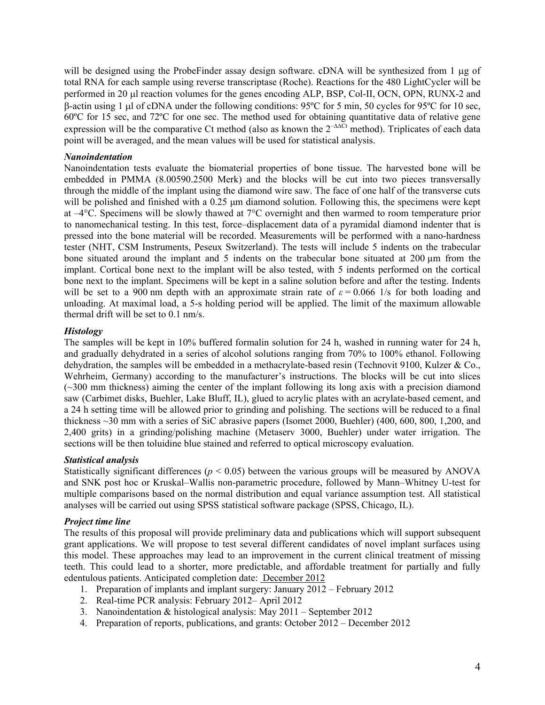will be designed using the ProbeFinder assay design software. cDNA will be synthesized from 1 μg of total RNA for each sample using reverse transcriptase (Roche). Reactions for the 480 LightCycler will be performed in 20 μl reaction volumes for the genes encoding ALP, BSP, Col-II, OCN, OPN, RUNX-2 and β-actin using 1 μl of cDNA under the following conditions: 95ºC for 5 min, 50 cycles for 95ºC for 10 sec, 60ºC for 15 sec, and 72ºC for one sec. The method used for obtaining quantitative data of relative gene expression will be the comparative Ct method (also as known the  $2^{-\Delta\Delta\tilde{C}t}$  method). Triplicates of each data point will be averaged, and the mean values will be used for statistical analysis.

#### *Nanoindentation*

Nanoindentation tests evaluate the biomaterial properties of bone tissue. The harvested bone will be embedded in PMMA (8.00590.2500 Merk) and the blocks will be cut into two pieces transversally through the middle of the implant using the diamond wire saw. The face of one half of the transverse cuts will be polished and finished with a 0.25 μm diamond solution. Following this, the specimens were kept at  $-4^{\circ}$ C. Specimens will be slowly thawed at  $7^{\circ}$ C overnight and then warmed to room temperature prior to nanomechanical testing. In this test, force–displacement data of a pyramidal diamond indenter that is pressed into the bone material will be recorded. Measurements will be performed with a nano-hardness tester (NHT, CSM Instruments, Peseux Switzerland). The tests will include 5 indents on the trabecular bone situated around the implant and 5 indents on the trabecular bone situated at 200 µm from the implant. Cortical bone next to the implant will be also tested, with 5 indents performed on the cortical bone next to the implant. Specimens will be kept in a saline solution before and after the testing. Indents will be set to a 900 nm depth with an approximate strain rate of  $\varepsilon = 0.066$  1/s for both loading and unloading. At maximal load, a 5-s holding period will be applied. The limit of the maximum allowable thermal drift will be set to 0.1 nm/s.

#### *Histology*

The samples will be kept in 10% buffered formalin solution for 24 h, washed in running water for 24 h, and gradually dehydrated in a series of alcohol solutions ranging from 70% to 100% ethanol. Following dehydration, the samples will be embedded in a methacrylate-based resin (Technovit 9100, Kulzer & Co., Wehrheim, Germany) according to the manufacturer's instructions. The blocks will be cut into slices (~300 mm thickness) aiming the center of the implant following its long axis with a precision diamond saw (Carbimet disks, Buehler, Lake Bluff, IL), glued to acrylic plates with an acrylate-based cement, and a 24 h setting time will be allowed prior to grinding and polishing. The sections will be reduced to a final thickness ~30 mm with a series of SiC abrasive papers (Isomet 2000, Buehler) (400, 600, 800, 1,200, and 2,400 grits) in a grinding/polishing machine (Metaserv 3000, Buehler) under water irrigation. The sections will be then toluidine blue stained and referred to optical microscopy evaluation.

### *Statistical analysis*

Statistically significant differences ( $p < 0.05$ ) between the various groups will be measured by ANOVA and SNK post hoc or Kruskal–Wallis non-parametric procedure, followed by Mann–Whitney U-test for multiple comparisons based on the normal distribution and equal variance assumption test. All statistical analyses will be carried out using SPSS statistical software package (SPSS, Chicago, IL).

### *Project time line*

The results of this proposal will provide preliminary data and publications which will support subsequent grant applications. We will propose to test several different candidates of novel implant surfaces using this model. These approaches may lead to an improvement in the current clinical treatment of missing teeth. This could lead to a shorter, more predictable, and affordable treatment for partially and fully edentulous patients. Anticipated completion date: December 2012

- 1. Preparation of implants and implant surgery: January 2012 February 2012
- 2. Real-time PCR analysis: February 2012– April 2012
- 3. Nanoindentation & histological analysis: May 2011 September 2012
- 4. Preparation of reports, publications, and grants: October 2012 December 2012